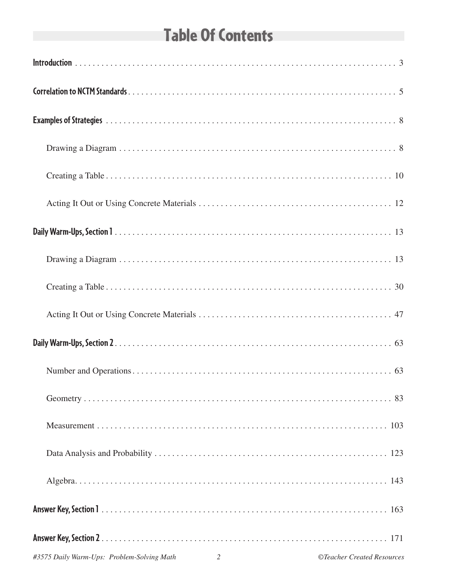# **Table Of Contents**

| #3575 Daily Warm-Ups: Problem-Solving Math<br>$\overline{2}$ | ©Teacher Created Resources |
|--------------------------------------------------------------|----------------------------|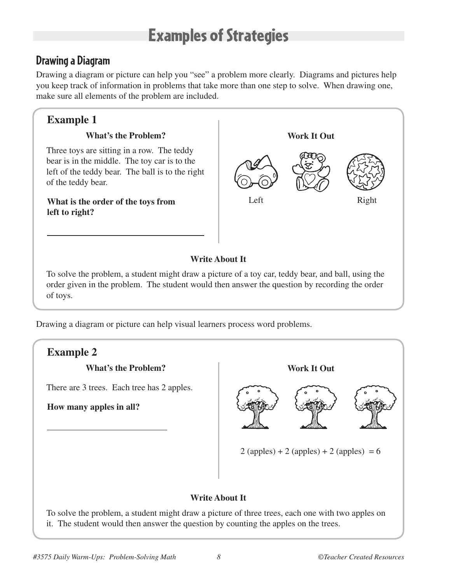### Examples of Strategies

### **Drawing a Diagram**

Drawing a diagram or picture can help you "see" a problem more clearly. Diagrams and pictures help you keep track of information in problems that take more than one step to solve. When drawing one, make sure all elements of the problem are included.

### **Example 1**

#### **What's the Problem?**

Three toys are sitting in a row. The teddy bear is in the middle. The toy car is to the left of the teddy bear. The ball is to the right of the teddy bear.

**What is the order of the toys from left to right?**



#### **Write About It**

To solve the problem, a student might draw a picture of a toy car, teddy bear, and ball, using the order given in the problem. The student would then answer the question by recording the order of toys.

Drawing a diagram or picture can help visual learners process word problems.



To solve the problem, a student might draw a picture of three trees, each one with two apples on it. The student would then answer the question by counting the apples on the trees.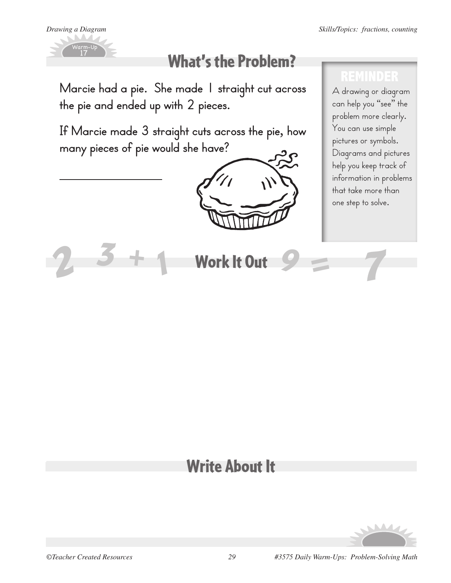

# What's the Problem?

**Marcie had a pie. She made 1 straight cut across the pie and ended up with 2 pieces.** 

**If Marcie made 3 straight cuts across the pie, how many pieces of pie would she have?**

*1*



### **REMINDER**

A drawing or diagram can help you "see" the problem more clearly. You can use simple pictures or symbols. Diagrams and pictures help you keep track of information in problems that take more than one step to solve.

# Work It Out *3 2 <sup>+</sup> <sup>9</sup> <sup>=</sup> 7*

### Write About It